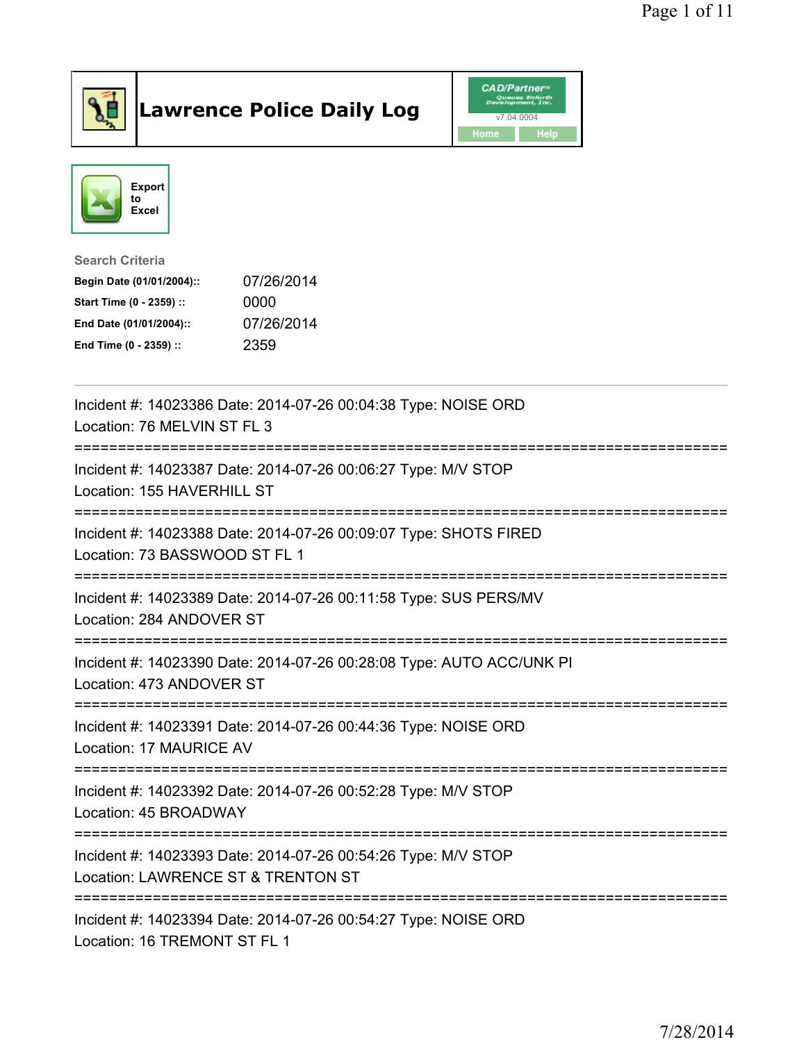

## Lawrence Police Daily Log **Daniel CAD/Partner**





## Search Criteria Begin Date (01/01/2004):: 07/26/2014 Start Time (0 - 2359) :: 0000 End Date (01/01/2004):: 07/26/2014 End Time (0 - 2359) :: 2359

| Incident #: 14023386 Date: 2014-07-26 00:04:38 Type: NOISE ORD<br>Location: 76 MELVIN ST FL 3                        |
|----------------------------------------------------------------------------------------------------------------------|
| Incident #: 14023387 Date: 2014-07-26 00:06:27 Type: M/V STOP<br>Location: 155 HAVERHILL ST<br>--------------------- |
| Incident #: 14023388 Date: 2014-07-26 00:09:07 Type: SHOTS FIRED<br>Location: 73 BASSWOOD ST FL 1                    |
| Incident #: 14023389 Date: 2014-07-26 00:11:58 Type: SUS PERS/MV<br>Location: 284 ANDOVER ST                         |
| Incident #: 14023390 Date: 2014-07-26 00:28:08 Type: AUTO ACC/UNK PI<br>Location: 473 ANDOVER ST                     |
| Incident #: 14023391 Date: 2014-07-26 00:44:36 Type: NOISE ORD<br>Location: 17 MAURICE AV                            |
| Incident #: 14023392 Date: 2014-07-26 00:52:28 Type: M/V STOP<br>Location: 45 BROADWAY                               |
| Incident #: 14023393 Date: 2014-07-26 00:54:26 Type: M/V STOP<br>Location: LAWRENCE ST & TRENTON ST                  |
| Incident #: 14023394 Date: 2014-07-26 00:54:27 Type: NOISE ORD<br>Location: 16 TREMONT ST FL 1                       |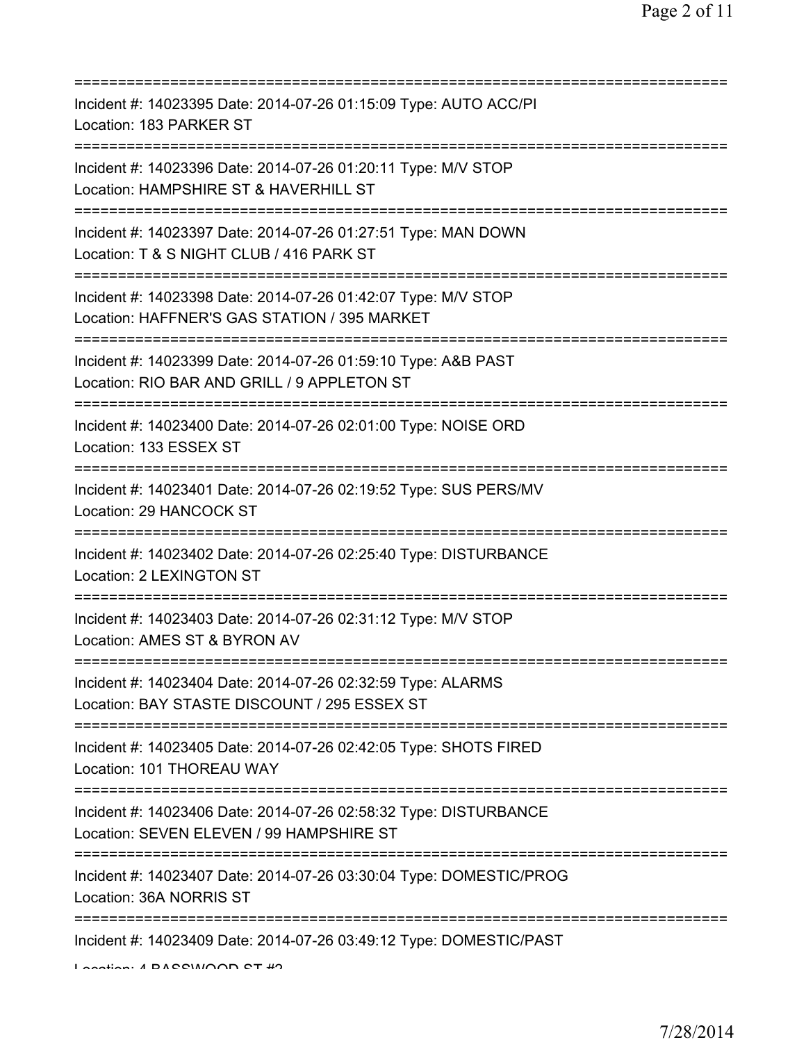| Incident #: 14023395 Date: 2014-07-26 01:15:09 Type: AUTO ACC/PI<br>Location: 183 PARKER ST                                               |
|-------------------------------------------------------------------------------------------------------------------------------------------|
| Incident #: 14023396 Date: 2014-07-26 01:20:11 Type: M/V STOP<br>Location: HAMPSHIRE ST & HAVERHILL ST                                    |
| Incident #: 14023397 Date: 2014-07-26 01:27:51 Type: MAN DOWN<br>Location: T & S NIGHT CLUB / 416 PARK ST<br>============================ |
| Incident #: 14023398 Date: 2014-07-26 01:42:07 Type: M/V STOP<br>Location: HAFFNER'S GAS STATION / 395 MARKET                             |
| Incident #: 14023399 Date: 2014-07-26 01:59:10 Type: A&B PAST<br>Location: RIO BAR AND GRILL / 9 APPLETON ST<br>=======================   |
| Incident #: 14023400 Date: 2014-07-26 02:01:00 Type: NOISE ORD<br>Location: 133 ESSEX ST                                                  |
| Incident #: 14023401 Date: 2014-07-26 02:19:52 Type: SUS PERS/MV<br>Location: 29 HANCOCK ST<br>;===============================           |
| Incident #: 14023402 Date: 2014-07-26 02:25:40 Type: DISTURBANCE<br>Location: 2 LEXINGTON ST                                              |
| Incident #: 14023403 Date: 2014-07-26 02:31:12 Type: M/V STOP<br>Location: AMES ST & BYRON AV                                             |
| Incident #: 14023404 Date: 2014-07-26 02:32:59 Type: ALARMS<br>Location: BAY STASTE DISCOUNT / 295 ESSEX ST                               |
| Incident #: 14023405 Date: 2014-07-26 02:42:05 Type: SHOTS FIRED<br>Location: 101 THOREAU WAY                                             |
| Incident #: 14023406 Date: 2014-07-26 02:58:32 Type: DISTURBANCE<br>Location: SEVEN ELEVEN / 99 HAMPSHIRE ST                              |
| Incident #: 14023407 Date: 2014-07-26 03:30:04 Type: DOMESTIC/PROG<br>Location: 36A NORRIS ST                                             |
| Incident #: 14023409 Date: 2014-07-26 03:49:12 Type: DOMESTIC/PAST                                                                        |

Location: 4 BASSMOOD ST #2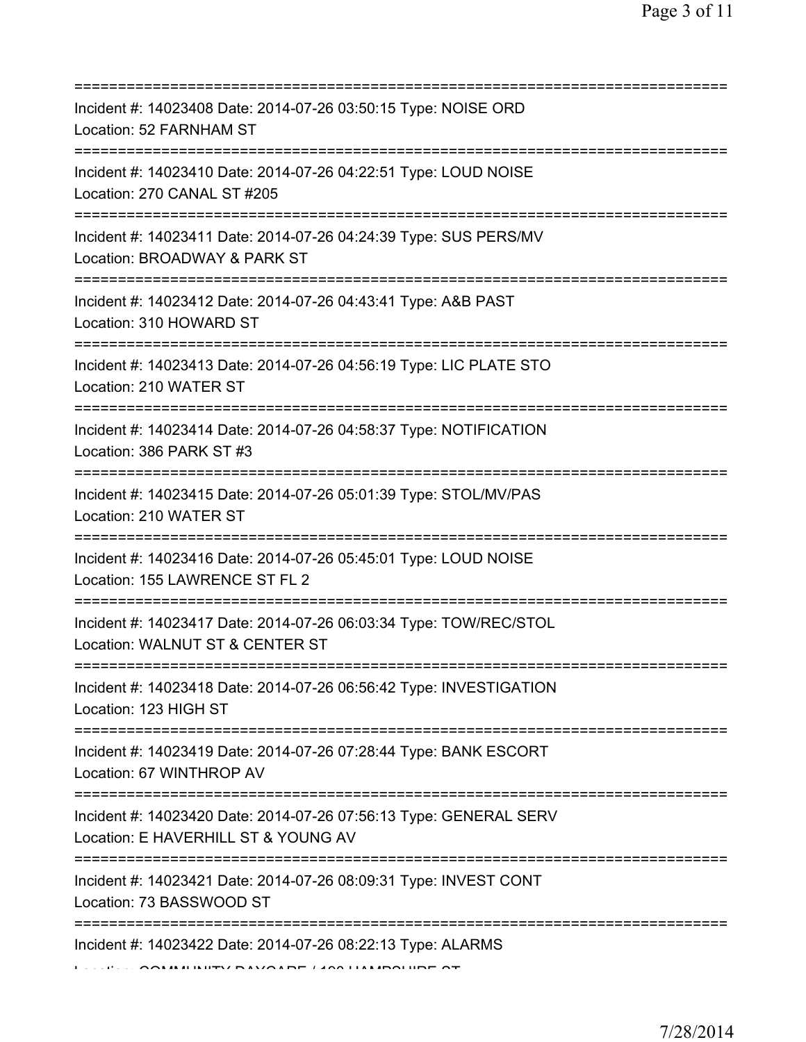| Incident #: 14023408 Date: 2014-07-26 03:50:15 Type: NOISE ORD<br>Location: 52 FARNHAM ST                                                                                 |
|---------------------------------------------------------------------------------------------------------------------------------------------------------------------------|
| Incident #: 14023410 Date: 2014-07-26 04:22:51 Type: LOUD NOISE<br>Location: 270 CANAL ST #205                                                                            |
| Incident #: 14023411 Date: 2014-07-26 04:24:39 Type: SUS PERS/MV<br>Location: BROADWAY & PARK ST                                                                          |
| Incident #: 14023412 Date: 2014-07-26 04:43:41 Type: A&B PAST<br>Location: 310 HOWARD ST<br>===========================                                                   |
| Incident #: 14023413 Date: 2014-07-26 04:56:19 Type: LIC PLATE STO<br>Location: 210 WATER ST                                                                              |
| =====================================<br>Incident #: 14023414 Date: 2014-07-26 04:58:37 Type: NOTIFICATION<br>Location: 386 PARK ST #3<br>=============================== |
| Incident #: 14023415 Date: 2014-07-26 05:01:39 Type: STOL/MV/PAS<br>Location: 210 WATER ST                                                                                |
| Incident #: 14023416 Date: 2014-07-26 05:45:01 Type: LOUD NOISE<br>Location: 155 LAWRENCE ST FL 2                                                                         |
| Incident #: 14023417 Date: 2014-07-26 06:03:34 Type: TOW/REC/STOL<br>Location: WALNUT ST & CENTER ST                                                                      |
| Incident #: 14023418 Date: 2014-07-26 06:56:42 Type: INVESTIGATION<br>Location: 123 HIGH ST                                                                               |
| Incident #: 14023419 Date: 2014-07-26 07:28:44 Type: BANK ESCORT<br>Location: 67 WINTHROP AV                                                                              |
| Incident #: 14023420 Date: 2014-07-26 07:56:13 Type: GENERAL SERV<br>Location: E HAVERHILL ST & YOUNG AV                                                                  |
| Incident #: 14023421 Date: 2014-07-26 08:09:31 Type: INVEST CONT<br>Location: 73 BASSWOOD ST                                                                              |
| ==========<br>Incident #: 14023422 Date: 2014-07-26 08:22:13 Type: ALARMS                                                                                                 |
|                                                                                                                                                                           |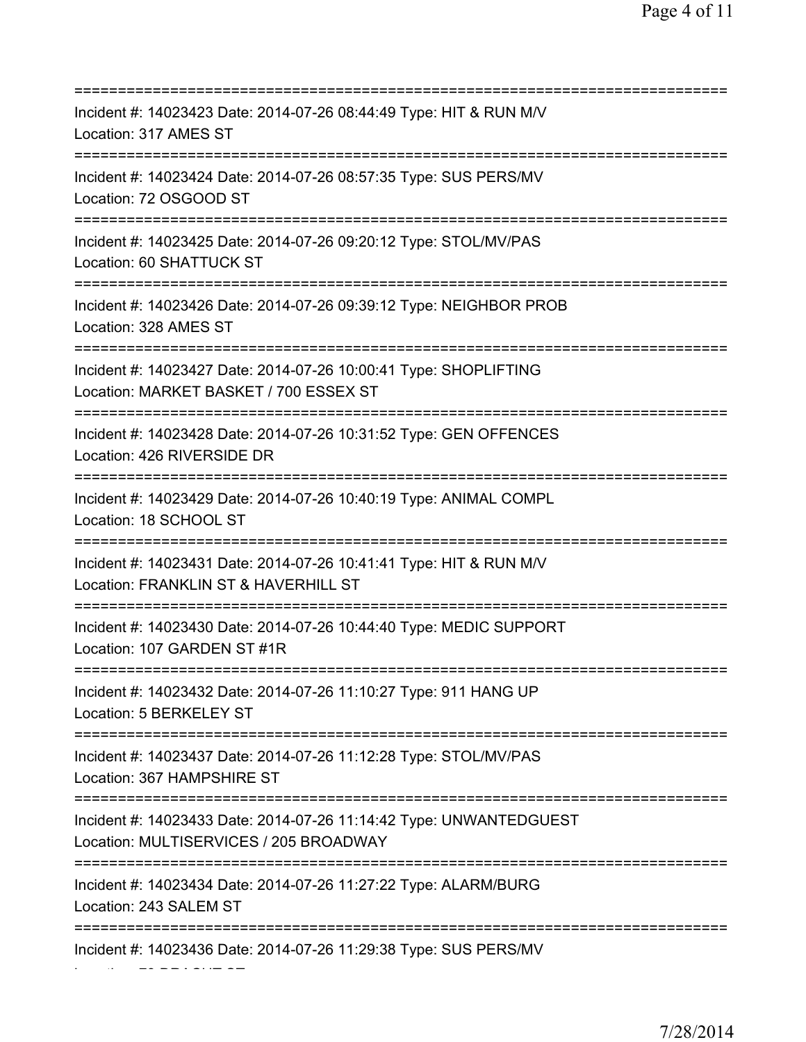=========================================================================== Incident #: 14023423 Date: 2014-07-26 08:44:49 Type: HIT & RUN M/V Location: 317 AMES ST =========================================================================== Incident #: 14023424 Date: 2014-07-26 08:57:35 Type: SUS PERS/MV Location: 72 OSGOOD ST =========================================================================== Incident #: 14023425 Date: 2014-07-26 09:20:12 Type: STOL/MV/PAS Location: 60 SHATTUCK ST =========================================================================== Incident #: 14023426 Date: 2014-07-26 09:39:12 Type: NEIGHBOR PROB Location: 328 AMES ST =========================================================================== Incident #: 14023427 Date: 2014-07-26 10:00:41 Type: SHOPLIFTING Location: MARKET BASKET / 700 ESSEX ST =========================================================================== Incident #: 14023428 Date: 2014-07-26 10:31:52 Type: GEN OFFENCES Location: 426 RIVERSIDE DR =========================================================================== Incident #: 14023429 Date: 2014-07-26 10:40:19 Type: ANIMAL COMPL Location: 18 SCHOOL ST =========================================================================== Incident #: 14023431 Date: 2014-07-26 10:41:41 Type: HIT & RUN M/V Location: FRANKLIN ST & HAVERHILL ST =========================================================================== Incident #: 14023430 Date: 2014-07-26 10:44:40 Type: MEDIC SUPPORT Location: 107 GARDEN ST #1R =========================================================================== Incident #: 14023432 Date: 2014-07-26 11:10:27 Type: 911 HANG UP Location: 5 BERKELEY ST =========================================================================== Incident #: 14023437 Date: 2014-07-26 11:12:28 Type: STOL/MV/PAS Location: 367 HAMPSHIRE ST =========================================================================== Incident #: 14023433 Date: 2014-07-26 11:14:42 Type: UNWANTEDGUEST Location: MULTISERVICES / 205 BROADWAY =========================================================================== Incident #: 14023434 Date: 2014-07-26 11:27:22 Type: ALARM/BURG Location: 243 SALEM ST =========================================================================== Incident #: 14023436 Date: 2014-07-26 11:29:38 Type: SUS PERS/MV

Location: 79 DRACUT ST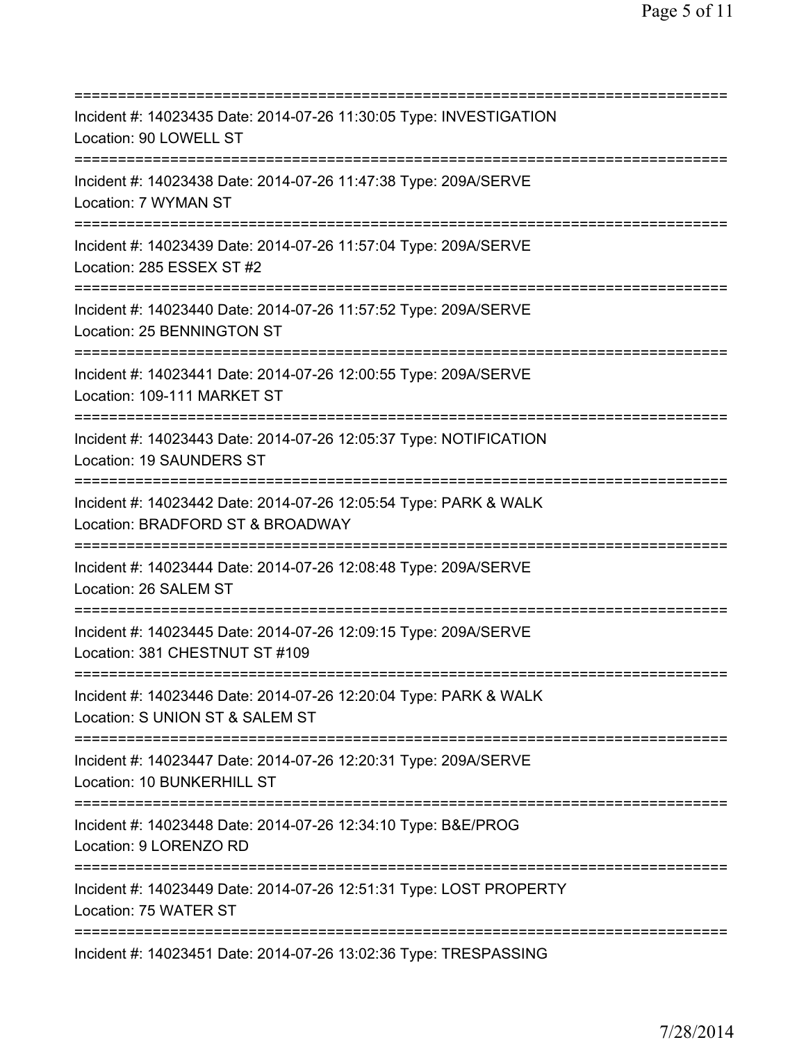=========================================================================== Incident #: 14023435 Date: 2014-07-26 11:30:05 Type: INVESTIGATION Location: 90 LOWELL ST =========================================================================== Incident #: 14023438 Date: 2014-07-26 11:47:38 Type: 209A/SERVE Location: 7 WYMAN ST =========================================================================== Incident #: 14023439 Date: 2014-07-26 11:57:04 Type: 209A/SERVE Location: 285 ESSEX ST #2 =========================================================================== Incident #: 14023440 Date: 2014-07-26 11:57:52 Type: 209A/SERVE Location: 25 BENNINGTON ST =========================================================================== Incident #: 14023441 Date: 2014-07-26 12:00:55 Type: 209A/SERVE Location: 109-111 MARKET ST =========================================================================== Incident #: 14023443 Date: 2014-07-26 12:05:37 Type: NOTIFICATION Location: 19 SAUNDERS ST =========================================================================== Incident #: 14023442 Date: 2014-07-26 12:05:54 Type: PARK & WALK Location: BRADFORD ST & BROADWAY =========================================================================== Incident #: 14023444 Date: 2014-07-26 12:08:48 Type: 209A/SERVE Location: 26 SALEM ST =========================================================================== Incident #: 14023445 Date: 2014-07-26 12:09:15 Type: 209A/SERVE Location: 381 CHESTNUT ST #109 =========================================================================== Incident #: 14023446 Date: 2014-07-26 12:20:04 Type: PARK & WALK Location: S UNION ST & SALEM ST =========================================================================== Incident #: 14023447 Date: 2014-07-26 12:20:31 Type: 209A/SERVE Location: 10 BUNKERHILL ST =========================================================================== Incident #: 14023448 Date: 2014-07-26 12:34:10 Type: B&E/PROG Location: 9 LORENZO RD =========================================================================== Incident #: 14023449 Date: 2014-07-26 12:51:31 Type: LOST PROPERTY Location: 75 WATER ST =========================================================================== Incident #: 14023451 Date: 2014-07-26 13:02:36 Type: TRESPASSING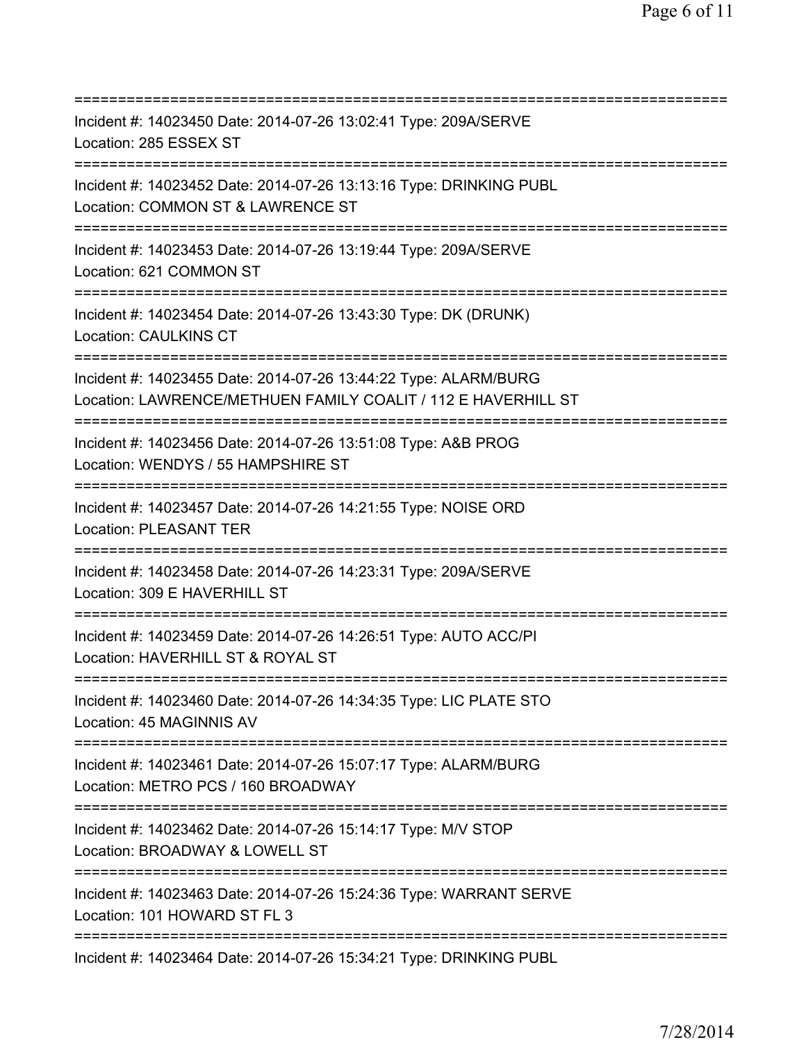| Incident #: 14023450 Date: 2014-07-26 13:02:41 Type: 209A/SERVE<br>Location: 285 ESSEX ST                                                    |
|----------------------------------------------------------------------------------------------------------------------------------------------|
| Incident #: 14023452 Date: 2014-07-26 13:13:16 Type: DRINKING PUBL<br>Location: COMMON ST & LAWRENCE ST                                      |
| Incident #: 14023453 Date: 2014-07-26 13:19:44 Type: 209A/SERVE<br>Location: 621 COMMON ST<br>=======================                        |
| Incident #: 14023454 Date: 2014-07-26 13:43:30 Type: DK (DRUNK)<br>Location: CAULKINS CT<br>=====================================            |
| Incident #: 14023455 Date: 2014-07-26 13:44:22 Type: ALARM/BURG<br>Location: LAWRENCE/METHUEN FAMILY COALIT / 112 E HAVERHILL ST             |
| Incident #: 14023456 Date: 2014-07-26 13:51:08 Type: A&B PROG<br>Location: WENDYS / 55 HAMPSHIRE ST<br>======================                |
| Incident #: 14023457 Date: 2014-07-26 14:21:55 Type: NOISE ORD<br><b>Location: PLEASANT TER</b>                                              |
| Incident #: 14023458 Date: 2014-07-26 14:23:31 Type: 209A/SERVE<br>Location: 309 E HAVERHILL ST                                              |
| :==================================<br>Incident #: 14023459 Date: 2014-07-26 14:26:51 Type: AUTO ACC/PI<br>Location: HAVERHILL ST & ROYAL ST |
| Incident #: 14023460 Date: 2014-07-26 14:34:35 Type: LIC PLATE STO<br>Location: 45 MAGINNIS AV                                               |
| Incident #: 14023461 Date: 2014-07-26 15:07:17 Type: ALARM/BURG<br>Location: METRO PCS / 160 BROADWAY                                        |
| ================================<br>Incident #: 14023462 Date: 2014-07-26 15:14:17 Type: M/V STOP<br>Location: BROADWAY & LOWELL ST          |
| ======================================<br>Incident #: 14023463 Date: 2014-07-26 15:24:36 Type: WARRANT SERVE<br>Location: 101 HOWARD ST FL 3 |
| Incident #: 14023464 Date: 2014-07-26 15:34:21 Type: DRINKING PUBL                                                                           |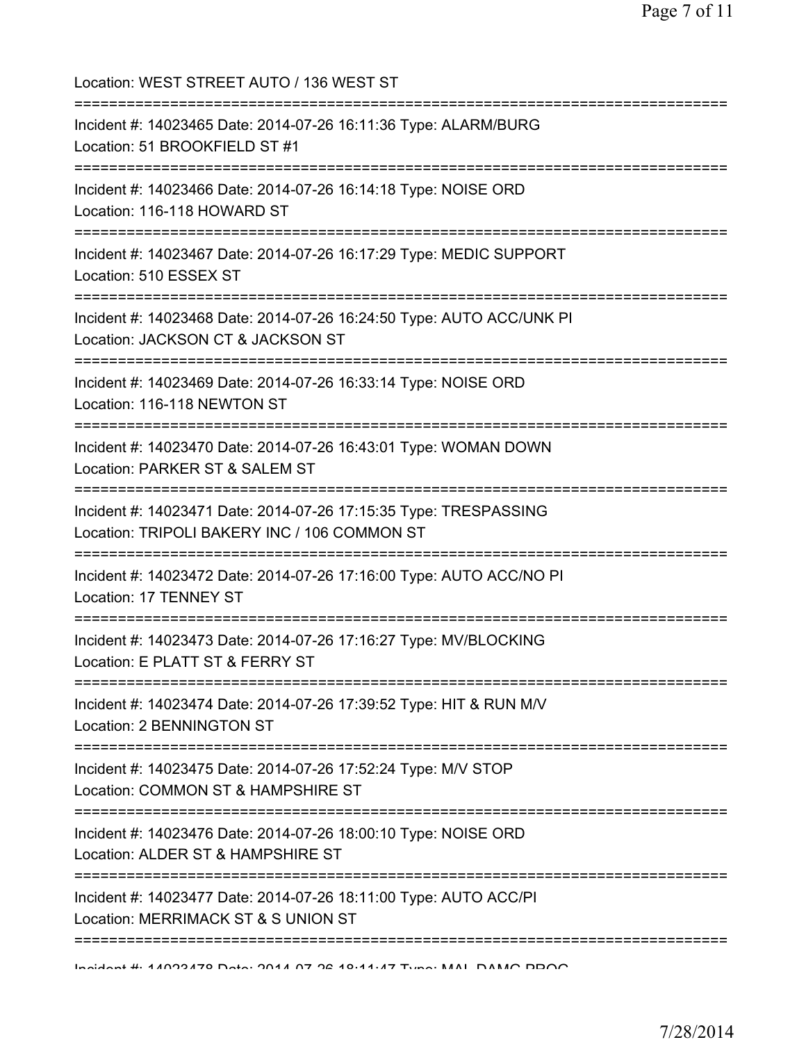Location: WEST STREET AUTO / 136 WEST ST =========================================================================== Incident #: 14023465 Date: 2014-07-26 16:11:36 Type: ALARM/BURG Location: 51 BROOKFIELD ST #1 =========================================================================== Incident #: 14023466 Date: 2014-07-26 16:14:18 Type: NOISE ORD Location: 116-118 HOWARD ST =========================================================================== Incident #: 14023467 Date: 2014-07-26 16:17:29 Type: MEDIC SUPPORT Location: 510 ESSEX ST =========================================================================== Incident #: 14023468 Date: 2014-07-26 16:24:50 Type: AUTO ACC/UNK PI Location: JACKSON CT & JACKSON ST =========================================================================== Incident #: 14023469 Date: 2014-07-26 16:33:14 Type: NOISE ORD Location: 116-118 NEWTON ST =========================================================================== Incident #: 14023470 Date: 2014-07-26 16:43:01 Type: WOMAN DOWN Location: PARKER ST & SALEM ST =========================================================================== Incident #: 14023471 Date: 2014-07-26 17:15:35 Type: TRESPASSING Location: TRIPOLI BAKERY INC / 106 COMMON ST =========================================================================== Incident #: 14023472 Date: 2014-07-26 17:16:00 Type: AUTO ACC/NO PI Location: 17 TENNEY ST =========================================================================== Incident #: 14023473 Date: 2014-07-26 17:16:27 Type: MV/BLOCKING Location: E PLATT ST & FERRY ST =========================================================================== Incident #: 14023474 Date: 2014-07-26 17:39:52 Type: HIT & RUN M/V Location: 2 BENNINGTON ST =========================================================================== Incident #: 14023475 Date: 2014-07-26 17:52:24 Type: M/V STOP Location: COMMON ST & HAMPSHIRE ST =========================================================================== Incident #: 14023476 Date: 2014-07-26 18:00:10 Type: NOISE ORD Location: ALDER ST & HAMPSHIRE ST =========================================================================== Incident #: 14023477 Date: 2014-07-26 18:11:00 Type: AUTO ACC/PI Location: MERRIMACK ST & S UNION ST =========================================================================== Incident #: 14023478 Date: 2014 07 26 18:11:47 Type: MAL DAMG PROG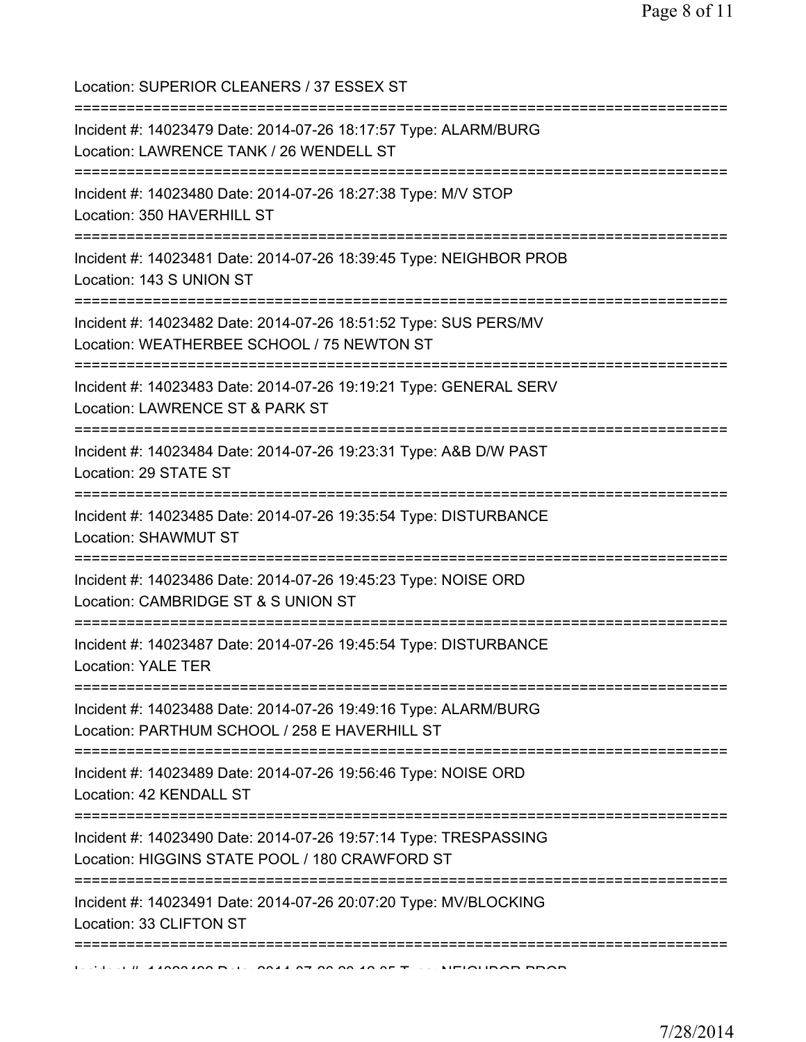| Location: SUPERIOR CLEANERS / 37 ESSEX ST                                                                                                    |
|----------------------------------------------------------------------------------------------------------------------------------------------|
| Incident #: 14023479 Date: 2014-07-26 18:17:57 Type: ALARM/BURG<br>Location: LAWRENCE TANK / 26 WENDELL ST                                   |
| Incident #: 14023480 Date: 2014-07-26 18:27:38 Type: M/V STOP<br>Location: 350 HAVERHILL ST                                                  |
| Incident #: 14023481 Date: 2014-07-26 18:39:45 Type: NEIGHBOR PROB<br>Location: 143 S UNION ST                                               |
| Incident #: 14023482 Date: 2014-07-26 18:51:52 Type: SUS PERS/MV<br>Location: WEATHERBEE SCHOOL / 75 NEWTON ST                               |
| Incident #: 14023483 Date: 2014-07-26 19:19:21 Type: GENERAL SERV<br>Location: LAWRENCE ST & PARK ST                                         |
| Incident #: 14023484 Date: 2014-07-26 19:23:31 Type: A&B D/W PAST<br>Location: 29 STATE ST                                                   |
| Incident #: 14023485 Date: 2014-07-26 19:35:54 Type: DISTURBANCE<br>Location: SHAWMUT ST                                                     |
| ===================================<br>Incident #: 14023486 Date: 2014-07-26 19:45:23 Type: NOISE ORD<br>Location: CAMBRIDGE ST & S UNION ST |
| Incident #: 14023487 Date: 2014-07-26 19:45:54 Type: DISTURBANCE<br><b>Location: YALE TER</b>                                                |
| Incident #: 14023488 Date: 2014-07-26 19:49:16 Type: ALARM/BURG<br>Location: PARTHUM SCHOOL / 258 E HAVERHILL ST                             |
| Incident #: 14023489 Date: 2014-07-26 19:56:46 Type: NOISE ORD<br>Location: 42 KENDALL ST                                                    |
| Incident #: 14023490 Date: 2014-07-26 19:57:14 Type: TRESPASSING<br>Location: HIGGINS STATE POOL / 180 CRAWFORD ST                           |
| Incident #: 14023491 Date: 2014-07-26 20:07:20 Type: MV/BLOCKING<br>Location: 33 CLIFTON ST                                                  |
| :=======================                                                                                                                     |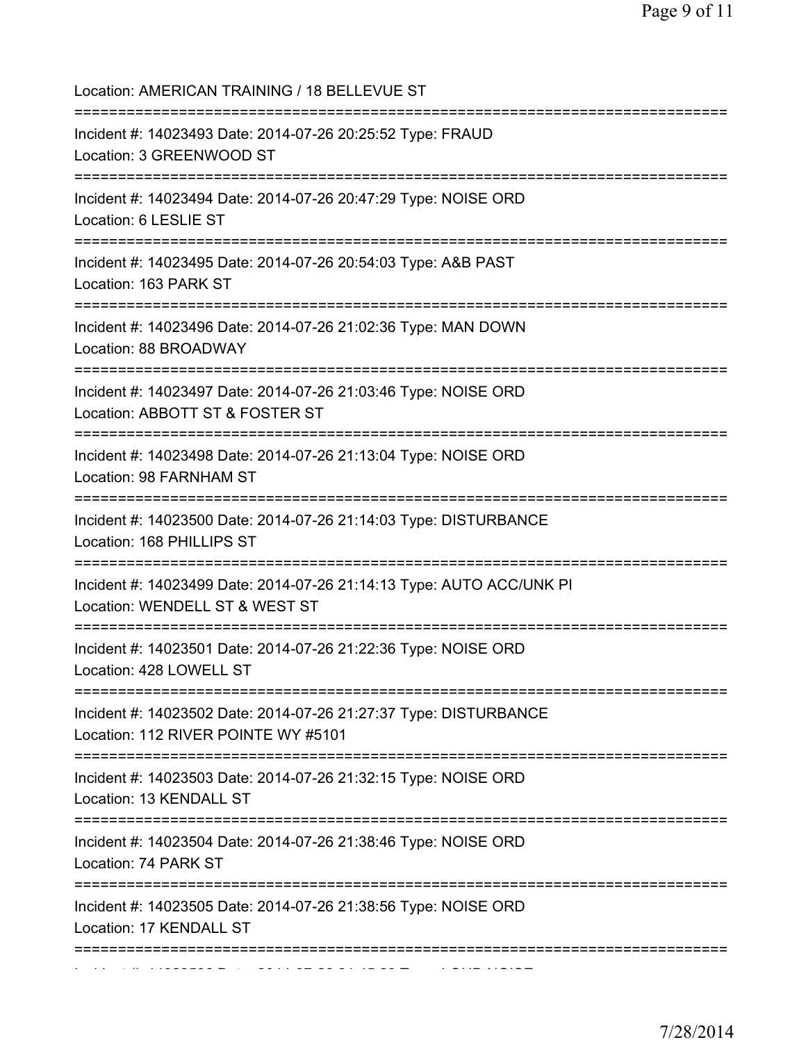| Location: AMERICAN TRAINING / 18 BELLEVUE ST                                                                                          |
|---------------------------------------------------------------------------------------------------------------------------------------|
| Incident #: 14023493 Date: 2014-07-26 20:25:52 Type: FRAUD<br>Location: 3 GREENWOOD ST<br>=====================================       |
| Incident #: 14023494 Date: 2014-07-26 20:47:29 Type: NOISE ORD<br>Location: 6 LESLIE ST                                               |
| Incident #: 14023495 Date: 2014-07-26 20:54:03 Type: A&B PAST<br>Location: 163 PARK ST<br>=========================                   |
| Incident #: 14023496 Date: 2014-07-26 21:02:36 Type: MAN DOWN<br>Location: 88 BROADWAY                                                |
| ===========================<br>Incident #: 14023497 Date: 2014-07-26 21:03:46 Type: NOISE ORD<br>Location: ABBOTT ST & FOSTER ST      |
| Incident #: 14023498 Date: 2014-07-26 21:13:04 Type: NOISE ORD<br>Location: 98 FARNHAM ST                                             |
| Incident #: 14023500 Date: 2014-07-26 21:14:03 Type: DISTURBANCE<br>Location: 168 PHILLIPS ST                                         |
| Incident #: 14023499 Date: 2014-07-26 21:14:13 Type: AUTO ACC/UNK PI<br>Location: WENDELL ST & WEST ST<br>=========================== |
| Incident #: 14023501 Date: 2014-07-26 21:22:36 Type: NOISE ORD<br>Location: 428 LOWELL ST<br>==============================           |
| Incident #: 14023502 Date: 2014-07-26 21:27:37 Type: DISTURBANCE<br>Location: 112 RIVER POINTE WY #5101                               |
| Incident #: 14023503 Date: 2014-07-26 21:32:15 Type: NOISE ORD<br>Location: 13 KENDALL ST                                             |
| Incident #: 14023504 Date: 2014-07-26 21:38:46 Type: NOISE ORD<br>Location: 74 PARK ST                                                |
| Incident #: 14023505 Date: 2014-07-26 21:38:56 Type: NOISE ORD<br>Location: 17 KENDALL ST                                             |
| ======================                                                                                                                |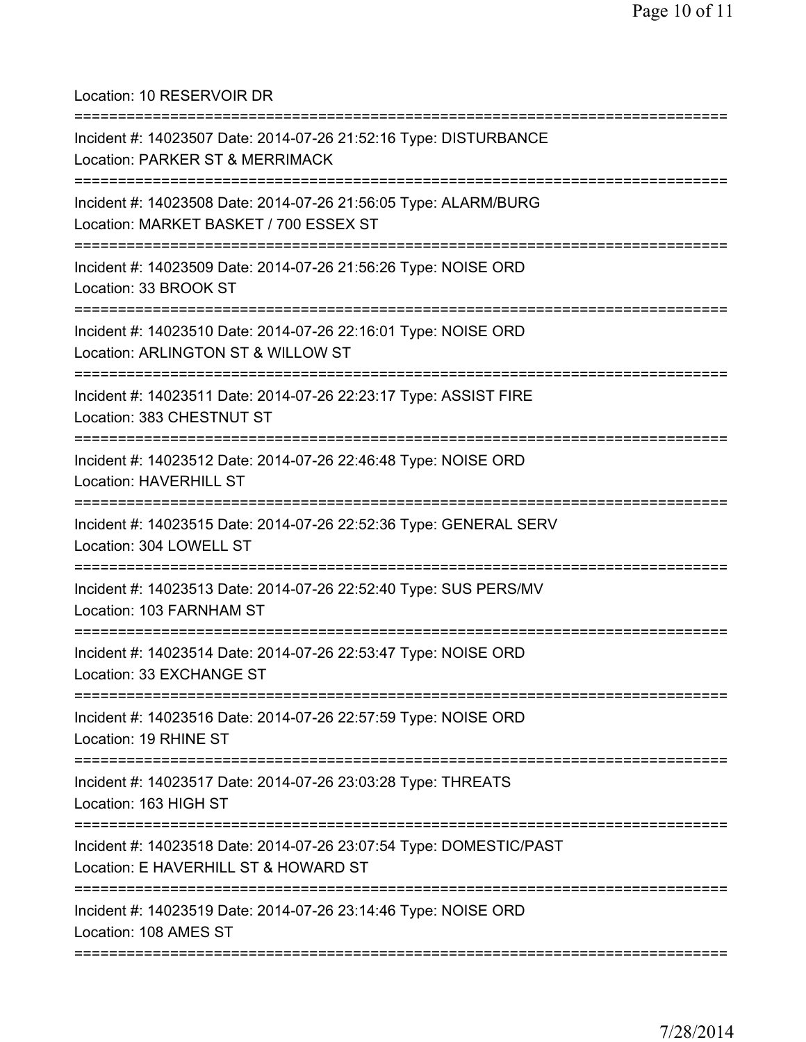Location: 10 RESERVOIR DR

| Incident #: 14023507 Date: 2014-07-26 21:52:16 Type: DISTURBANCE<br>Location: PARKER ST & MERRIMACK                          |
|------------------------------------------------------------------------------------------------------------------------------|
| Incident #: 14023508 Date: 2014-07-26 21:56:05 Type: ALARM/BURG<br>Location: MARKET BASKET / 700 ESSEX ST                    |
| Incident #: 14023509 Date: 2014-07-26 21:56:26 Type: NOISE ORD<br>Location: 33 BROOK ST                                      |
| Incident #: 14023510 Date: 2014-07-26 22:16:01 Type: NOISE ORD<br>Location: ARLINGTON ST & WILLOW ST                         |
| Incident #: 14023511 Date: 2014-07-26 22:23:17 Type: ASSIST FIRE<br>Location: 383 CHESTNUT ST                                |
| Incident #: 14023512 Date: 2014-07-26 22:46:48 Type: NOISE ORD<br>Location: HAVERHILL ST                                     |
| Incident #: 14023515 Date: 2014-07-26 22:52:36 Type: GENERAL SERV<br>Location: 304 LOWELL ST                                 |
| Incident #: 14023513 Date: 2014-07-26 22:52:40 Type: SUS PERS/MV<br>Location: 103 FARNHAM ST                                 |
| Incident #: 14023514 Date: 2014-07-26 22:53:47 Type: NOISE ORD<br>Location: 33 EXCHANGE ST                                   |
| =================================<br>Incident #: 14023516 Date: 2014-07-26 22:57:59 Type: NOISE ORD<br>Location: 19 RHINE ST |
| Incident #: 14023517 Date: 2014-07-26 23:03:28 Type: THREATS<br>Location: 163 HIGH ST                                        |
| Incident #: 14023518 Date: 2014-07-26 23:07:54 Type: DOMESTIC/PAST<br>Location: E HAVERHILL ST & HOWARD ST                   |
| Incident #: 14023519 Date: 2014-07-26 23:14:46 Type: NOISE ORD<br>Location: 108 AMES ST                                      |
|                                                                                                                              |